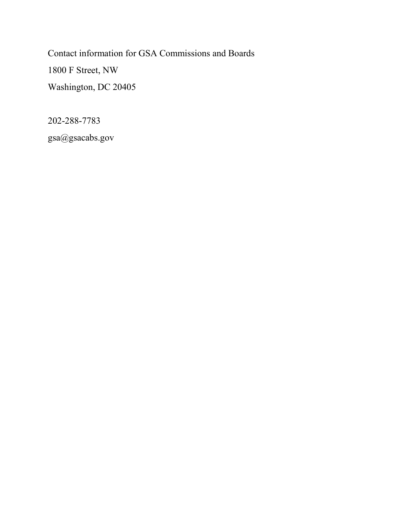Contact information for GSA Commissions and Boards 1800 F Street, NW Washington, DC 20405

202-288-7783

gsa@gsacabs.gov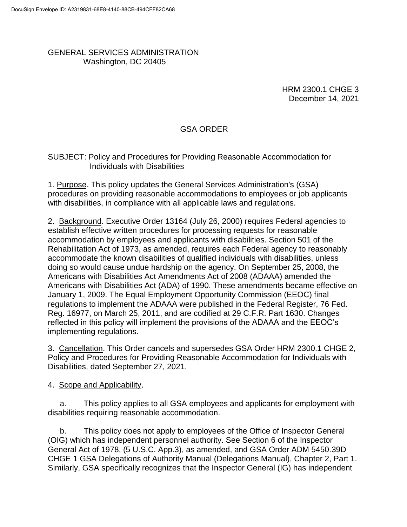#### GENERAL SERVICES ADMINISTRATION Washington, DC 20405

HRM 2300.1 CHGE 3 December 14, 2021

#### GSA ORDER

#### SUBJECT: Policy and Procedures for Providing Reasonable Accommodation for Individuals with Disabilities

1. Purpose. This policy updates the General Services Administration's (GSA) procedures on providing reasonable accommodations to employees or job applicants with disabilities, in compliance with all applicable laws and regulations.

2. Background. Executive Order 13164 (July 26, 2000) requires Federal agencies to establish effective written procedures for processing requests for reasonable accommodation by employees and applicants with disabilities. Section 501 of the Rehabilitation Act of 1973, as amended, requires each Federal agency to reasonably accommodate the known disabilities of qualified individuals with disabilities, unless doing so would cause undue hardship on the agency. On September 25, 2008, the Americans with Disabilities Act Amendments Act of 2008 (ADAAA) amended the Americans with Disabilities Act (ADA) of 1990. These amendments became effective on January 1, 2009. The Equal Employment Opportunity Commission (EEOC) final regulations to implement the ADAAA were published in the Federal Register, 76 Fed. Reg. 16977, on March 25, 2011, and are codified at 29 C.F.R. Part 1630. Changes reflected in this policy will implement the provisions of the ADAAA and the EEOC's implementing regulations.

3. Cancellation. This Order cancels and supersedes GSA Order HRM 2300.1 CHGE 2, Policy and Procedures for Providing Reasonable Accommodation for Individuals with Disabilities, dated September 27, 2021.

4. Scope and Applicability.

a. This policy applies to all GSA employees and applicants for employment with disabilities requiring reasonable accommodation.

b. This policy does not apply to employees of the Office of Inspector General (OIG) which has independent personnel authority. See Section 6 of the Inspector General Act of 1978, (5 U.S.C. App.3), as amended, and GSA Order ADM 5450.39D CHGE 1 GSA Delegations of Authority Manual (Delegations Manual), Chapter 2, Part 1. Similarly, GSA specifically recognizes that the Inspector General (IG) has independent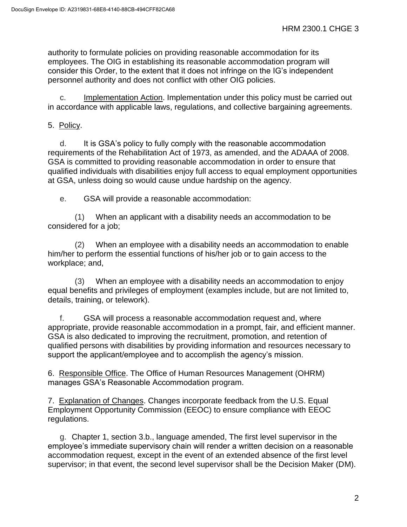authority to formulate policies on providing reasonable accommodation for its employees. The OIG in establishing its reasonable accommodation program will consider this Order, to the extent that it does not infringe on the IG's independent personnel authority and does not conflict with other OIG policies.

c. Implementation Action. Implementation under this policy must be carried out in accordance with applicable laws, regulations, and collective bargaining agreements.

### 5. Policy.

d. It is GSA's policy to fully comply with the reasonable accommodation requirements of the Rehabilitation Act of 1973, as amended, and the ADAAA of 2008. GSA is committed to providing reasonable accommodation in order to ensure that qualified individuals with disabilities enjoy full access to equal employment opportunities at GSA, unless doing so would cause undue hardship on the agency.

e. GSA will provide a reasonable accommodation:

(1) When an applicant with a disability needs an accommodation to be considered for a job;

(2) When an employee with a disability needs an accommodation to enable him/her to perform the essential functions of his/her job or to gain access to the workplace; and,

(3) When an employee with a disability needs an accommodation to enjoy equal benefits and privileges of employment (examples include, but are not limited to, details, training, or telework).

f. GSA will process a reasonable accommodation request and, where appropriate, provide reasonable accommodation in a prompt, fair, and efficient manner. GSA is also dedicated to improving the recruitment, promotion, and retention of qualified persons with disabilities by providing information and resources necessary to support the applicant/employee and to accomplish the agency's mission.

6. Responsible Office. The Office of Human Resources Management (OHRM) manages GSA's Reasonable Accommodation program.

7. Explanation of Changes. Changes incorporate feedback from the U.S. Equal Employment Opportunity Commission (EEOC) to ensure compliance with EEOC regulations.

g. Chapter 1, section 3.b., language amended, The first level supervisor in the employee's immediate supervisory chain will render a written decision on a reasonable accommodation request, except in the event of an extended absence of the first level supervisor; in that event, the second level supervisor shall be the Decision Maker (DM).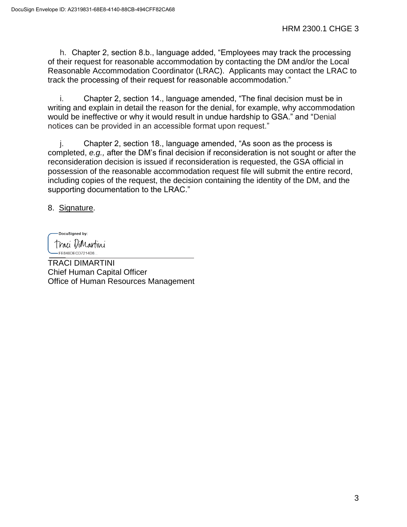h. Chapter 2, section 8.b., language added, "Employees may track the processing of their request for reasonable accommodation by contacting the DM and/or the Local Reasonable Accommodation Coordinator (LRAC). Applicants may contact the LRAC to track the processing of their request for reasonable accommodation."

i. Chapter 2, section 14., language amended, "The final decision must be in writing and explain in detail the reason for the denial, for example, why accommodation would be ineffective or why it would result in undue hardship to GSA." and "Denial notices can be provided in an accessible format upon request."

j. Chapter 2, section 18., language amended, "As soon as the process is completed, *e.g.,* after the DM's final decision if reconsideration is not sought or after the reconsideration decision is issued if reconsideration is requested, the GSA official in possession of the reasonable accommodation request file will submit the entire record, including copies of the request, the decision containing the identity of the DM, and the supporting documentation to the LRAC."

8. Signature.

DocuSigned by: Traci ViMartini -FE848DECD7214D8.

TRACI DIMARTINI Chief Human Capital Officer Office of Human Resources Management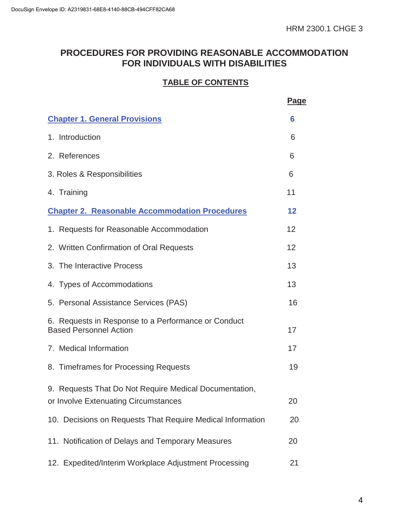# **PROCEDURES FOR PROVIDING REASONABLE ACCOMMODATION FOR INDIVIDUALS WITH DISABILITIES**

### **TABLE OF CONTENTS**

|                                                                                                | <u>Page</u> |
|------------------------------------------------------------------------------------------------|-------------|
| <b>Chapter 1. General Provisions</b>                                                           | 6           |
| 1. Introduction                                                                                | 6           |
| 2. References                                                                                  | 6           |
| 3. Roles & Responsibilities                                                                    | 6           |
| 4. Training                                                                                    | 11          |
| <b>Chapter 2. Reasonable Accommodation Procedures</b>                                          | 12          |
| 1. Requests for Reasonable Accommodation                                                       | 12          |
| 2. Written Confirmation of Oral Requests                                                       | 12          |
| 3. The Interactive Process                                                                     | 13          |
| 4. Types of Accommodations                                                                     | 13          |
| 5. Personal Assistance Services (PAS)                                                          | 16          |
| 6. Requests in Response to a Performance or Conduct<br><b>Based Personnel Action</b>           | 17          |
| 7. Medical Information                                                                         | 17          |
| 8. Timeframes for Processing Requests                                                          | 19          |
| 9. Requests That Do Not Require Medical Documentation,<br>or Involve Extenuating Circumstances | 20          |
| 10. Decisions on Requests That Require Medical Information                                     | 20          |
| 11. Notification of Delays and Temporary Measures                                              | 20          |
| 12. Expedited/Interim Workplace Adjustment Processing                                          | 21          |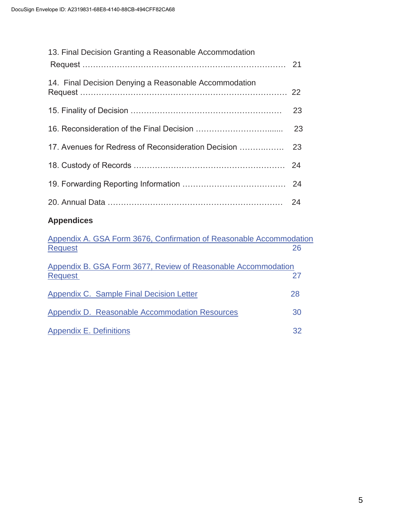| 13. Final Decision Granting a Reasonable Accommodation                                |    |
|---------------------------------------------------------------------------------------|----|
| 14. Final Decision Denying a Reasonable Accommodation                                 | 22 |
|                                                                                       | 23 |
|                                                                                       | 23 |
| 17. Avenues for Redress of Reconsideration Decision                                   | 23 |
|                                                                                       | 24 |
|                                                                                       | 24 |
|                                                                                       | 24 |
| <b>Appendices</b>                                                                     |    |
| Appendix A. GSA Form 3676, Confirmation of Reasonable Accommodation<br><b>Request</b> | 26 |
| Appendix B. GSA Form 3677, Review of Reasonable Accommodation<br><b>Request</b>       | 27 |
| <b>Appendix C. Sample Final Decision Letter</b>                                       | 28 |
| <b>Appendix D. Reasonable Accommodation Resources</b>                                 | 30 |

Appendix E. Definitions 32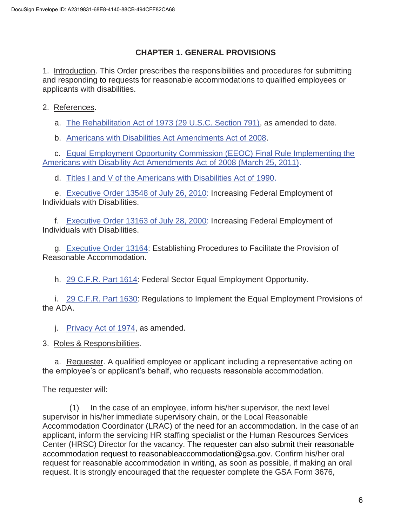### **CHAPTER 1. GENERAL PROVISIONS**

<span id="page-6-0"></span>1. Introduction. This Order prescribes the responsibilities and procedures for submitting and responding to requests for reasonable accommodations to qualified employees or applicants with disabilities.

2. References.

a. The Rehabilitation Act of 1973 (29 U.S.C. Section 791), as amended to date.

b. Americans with Disabilities Act Amendments Act of 2008.

c. Equal Employment Opportunity Commission (EEOC) Final Rule Implementing the Americans with Disability Act Amendments Act of 2008 (March 25, 2011).

d. Titles I and V of the Americans with Disabilities Act of 1990.

e. Executive Order 13548 of July 26, 2010: Increasing Federal Employment of Individuals with Disabilities.

f. Executive Order 13163 of July 28, 2000: Increasing Federal Employment of Individuals with Disabilities.

g. Executive Order 13164: Establishing Procedures to Facilitate the Provision of Reasonable Accommodation.

h. 29 C.F.R. Part 1614: Federal Sector Equal Employment Opportunity.

i. 29 C.F.R. Part 1630: Regulations to Implement the Equal Employment Provisions of the ADA.

j. Privacy Act of 1974, as amended.

3. Roles & Responsibilities.

a. Requester. A qualified employee or applicant including a representative acting on the employee's or applicant's behalf, who requests reasonable accommodation.

The requester will:

(1) In the case of an employee, inform his/her supervisor, the next level supervisor in his/her immediate supervisory chain, or the Local Reasonable Accommodation Coordinator (LRAC) of the need for an accommodation. In the case of an applicant, inform the servicing HR staffing specialist or the Human Resources Services Center (HRSC) Director for the vacancy. The requester can also submit their reasonable accommodation request to reasonableaccommodation@gsa.gov. Confirm his/her oral request for reasonable accommodation in writing, as soon as possible, if making an oral request. It is strongly encouraged that the requester complete the GSA Form 3676,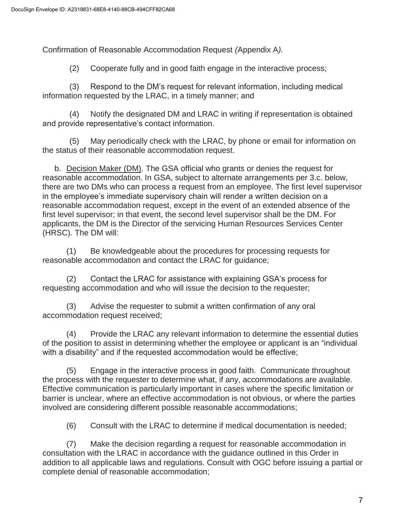Confirmation of Reasonable Accommodation Request *(*Appendix A*).*

(2) Cooperate fully and in good faith engage in the interactive process;

(3) Respond to the DM's request for relevant information, including medical information requested by the LRAC, in a timely manner; and

(4) Notify the designated DM and LRAC in writing if representation is obtained and provide representative's contact information.

(5) May periodically check with the LRAC, by phone or email for information on the status of their reasonable accommodation request.

b. Decision Maker (DM). The GSA official who grants or denies the request for reasonable accommodation. In GSA, subject to alternate arrangements per 3.c. below, there are two DMs who can process a request from an employee. The first level supervisor in the employee's immediate supervisory chain will render a written decision on a reasonable accommodation request, except in the event of an extended absence of the first level supervisor; in that event, the second level supervisor shall be the DM. For applicants, the DM is the Director of the servicing Human Resources Services Center (HRSC). The DM will:

(1) Be knowledgeable about the procedures for processing requests for reasonable accommodation and contact the LRAC for guidance;

(2) Contact the LRAC for assistance with explaining GSA's process for requesting accommodation and who will issue the decision to the requester;

(3) Advise the requester to submit a written confirmation of any oral accommodation request received;

(4) Provide the LRAC any relevant information to determine the essential duties of the position to assist in determining whether the employee or applicant is an "individual with a disability" and if the requested accommodation would be effective;

(5) Engage in the interactive process in good faith. Communicate throughout the process with the requester to determine what, if any, accommodations are available. Effective communication is particularly important in cases where the specific limitation or barrier is unclear, where an effective accommodation is not obvious, or where the parties involved are considering different possible reasonable accommodations;

(6) Consult with the LRAC to determine if medical documentation is needed;

(7) Make the decision regarding a request for reasonable accommodation in consultation with the LRAC in accordance with the guidance outlined in this Order in addition to all applicable laws and regulations. Consult with OGC before issuing a partial or complete denial of reasonable accommodation;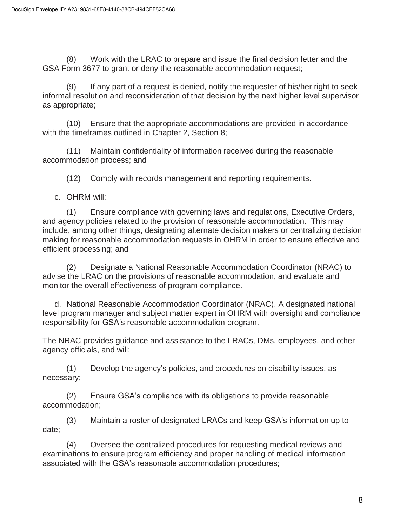(8) Work with the LRAC to prepare and issue the final decision letter and the GSA Form 3677 to grant or deny the reasonable accommodation request;

(9) If any part of a request is denied, notify the requester of his/her right to seek informal resolution and reconsideration of that decision by the next higher level supervisor as appropriate;

(10) Ensure that the appropriate accommodations are provided in accordance with the timeframes outlined in Chapter 2, Section 8;

(11) Maintain confidentiality of information received during the reasonable accommodation process; and

(12) Comply with records management and reporting requirements.

c. OHRM will:

(1) Ensure compliance with governing laws and regulations, Executive Orders, and agency policies related to the provision of reasonable accommodation. This may include, among other things, designating alternate decision makers or centralizing decision making for reasonable accommodation requests in OHRM in order to ensure effective and efficient processing; and

(2) Designate a National Reasonable Accommodation Coordinator (NRAC) to advise the LRAC on the provisions of reasonable accommodation, and evaluate and monitor the overall effectiveness of program compliance.

d. National Reasonable Accommodation Coordinator (NRAC). A designated national level program manager and subject matter expert in OHRM with oversight and compliance responsibility for GSA's reasonable accommodation program.

The NRAC provides guidance and assistance to the LRACs, DMs, employees, and other agency officials, and will:

(1) Develop the agency's policies, and procedures on disability issues, as necessary;

(2) Ensure GSA's compliance with its obligations to provide reasonable accommodation;

(3) Maintain a roster of designated LRACs and keep GSA's information up to date;

(4) Oversee the centralized procedures for requesting medical reviews and examinations to ensure program efficiency and proper handling of medical information associated with the GSA's reasonable accommodation procedures;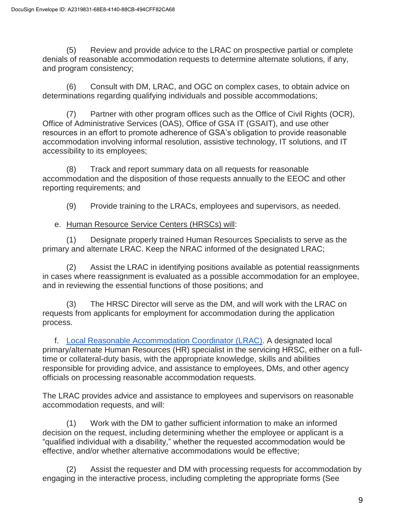(5) Review and provide advice to the LRAC on prospective partial or complete denials of reasonable accommodation requests to determine alternate solutions, if any, and program consistency;

(6) Consult with DM, LRAC, and OGC on complex cases, to obtain advice on determinations regarding qualifying individuals and possible accommodations;

(7) Partner with other program offices such as the Office of Civil Rights (OCR), Office of Administrative Services (OAS), Office of GSA IT (GSAIT), and use other resources in an effort to promote adherence of GSA's obligation to provide reasonable accommodation involving informal resolution, assistive technology, IT solutions, and IT accessibility to its employees;

(8) Track and report summary data on all requests for reasonable accommodation and the disposition of those requests annually to the EEOC and other reporting requirements; and

(9) Provide training to the LRACs, employees and supervisors, as needed.

### e. Human Resource Service Centers (HRSCs) will:

(1) Designate properly trained Human Resources Specialists to serve as the primary and alternate LRAC. Keep the NRAC informed of the designated LRAC;

(2) Assist the LRAC in identifying positions available as potential reassignments in cases where reassignment is evaluated as a possible accommodation for an employee, and in reviewing the essential functions of those positions; and

(3) The HRSC Director will serve as the DM, and will work with the LRAC on requests from applicants for employment for accommodation during the application process.

f. [Local Reasonable Accommodation Coordinator \(LRAC\).](https://insite.gsa.gov/topics/hr-pay-and-leave/policies-and-resources/reasonable-accommodation/reasonable-accommodation-coordinators) A designated local primary/alternate Human Resources (HR) specialist in the servicing HRSC, either on a fulltime or collateral-duty basis, with the appropriate knowledge, skills and abilities responsible for providing advice, and assistance to employees, DMs, and other agency officials on processing reasonable accommodation requests.

The LRAC provides advice and assistance to employees and supervisors on reasonable accommodation requests, and will:

(1) Work with the DM to gather sufficient information to make an informed decision on the request, including determining whether the employee or applicant is a "qualified individual with a disability," whether the requested accommodation would be effective, and/or whether alternative accommodations would be effective;

(2) Assist the requester and DM with processing requests for accommodation by engaging in the interactive process, including completing the appropriate forms (See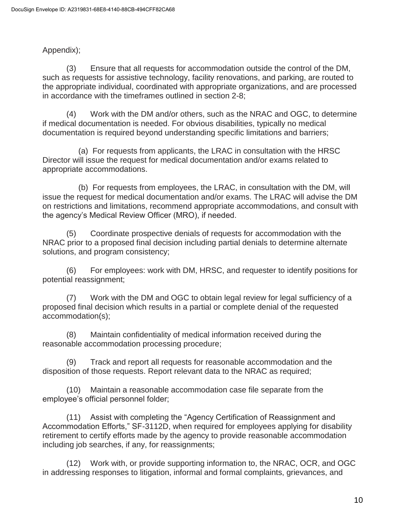### Appendix);

(3) Ensure that all requests for accommodation outside the control of the DM, such as requests for assistive technology, facility renovations, and parking, are routed to the appropriate individual, coordinated with appropriate organizations, and are processed in accordance with the timeframes outlined in section 2-8;

(4) Work with the DM and/or others, such as the NRAC and OGC, to determine if medical documentation is needed. For obvious disabilities, typically no medical documentation is required beyond understanding specific limitations and barriers;

(a) For requests from applicants, the LRAC in consultation with the HRSC Director will issue the request for medical documentation and/or exams related to appropriate accommodations.

(b) For requests from employees, the LRAC, in consultation with the DM, will issue the request for medical documentation and/or exams. The LRAC will advise the DM on restrictions and limitations, recommend appropriate accommodations, and consult with the agency's Medical Review Officer (MRO), if needed.

(5) Coordinate prospective denials of requests for accommodation with the NRAC prior to a proposed final decision including partial denials to determine alternate solutions, and program consistency;

(6) For employees: work with DM, HRSC, and requester to identify positions for potential reassignment;

(7) Work with the DM and OGC to obtain legal review for legal sufficiency of a proposed final decision which results in a partial or complete denial of the requested accommodation(s);

(8) Maintain confidentiality of medical information received during the reasonable accommodation processing procedure;

(9) Track and report all requests for reasonable accommodation and the disposition of those requests. Report relevant data to the NRAC as required;

(10) Maintain a reasonable accommodation case file separate from the employee's official personnel folder;

(11) Assist with completing the "Agency Certification of Reassignment and Accommodation Efforts," SF-3112D, when required for employees applying for disability retirement to certify efforts made by the agency to provide reasonable accommodation including job searches, if any, for reassignments;

(12) Work with, or provide supporting information to, the NRAC, OCR, and OGC in addressing responses to litigation, informal and formal complaints, grievances, and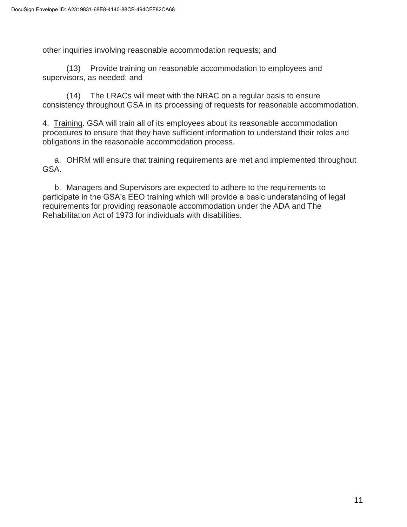other inquiries involving reasonable accommodation requests; and

(13) Provide training on reasonable accommodation to employees and supervisors, as needed; and

(14) The LRACs will meet with the NRAC on a regular basis to ensure consistency throughout GSA in its processing of requests for reasonable accommodation.

4. Training. GSA will train all of its employees about its reasonable accommodation procedures to ensure that they have sufficient information to understand their roles and obligations in the reasonable accommodation process.

a. OHRM will ensure that training requirements are met and implemented throughout GSA.

b. Managers and Supervisors are expected to adhere to the requirements to participate in the GSA's EEO training which will provide a basic understanding of legal requirements for providing reasonable accommodation under the ADA and The Rehabilitation Act of 1973 for individuals with disabilities.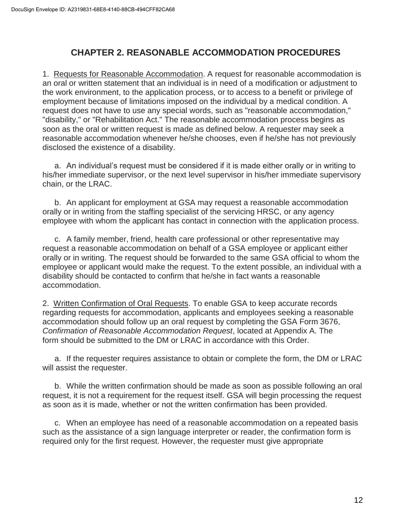# **CHAPTER 2. REASONABLE ACCOMMODATION PROCEDURES**

<span id="page-12-0"></span>1. Requests for Reasonable Accommodation. A request for reasonable accommodation is an oral or written statement that an individual is in need of a modification or adjustment to the work environment, to the application process, or to access to a benefit or privilege of employment because of limitations imposed on the individual by a medical condition. A request does not have to use any special words, such as "reasonable accommodation," "disability," or "Rehabilitation Act." The reasonable accommodation process begins as soon as the oral or written request is made as defined below. A requester may seek a reasonable accommodation whenever he/she chooses, even if he/she has not previously disclosed the existence of a disability.

a. An individual's request must be considered if it is made either orally or in writing to his/her immediate supervisor, or the next level supervisor in his/her immediate supervisory chain, or the LRAC.

b. An applicant for employment at GSA may request a reasonable accommodation orally or in writing from the staffing specialist of the servicing HRSC, or any agency employee with whom the applicant has contact in connection with the application process.

c. A family member, friend, health care professional or other representative may request a reasonable accommodation on behalf of a GSA employee or applicant either orally or in writing. The request should be forwarded to the same GSA official to whom the employee or applicant would make the request. To the extent possible, an individual with a disability should be contacted to confirm that he/she in fact wants a reasonable accommodation.

2. Written Confirmation of Oral Requests. To enable GSA to keep accurate records regarding requests for accommodation, applicants and employees seeking a reasonable accommodation should follow up an oral request by completing the GSA Form 3676, *Confirmation of Reasonable Accommodation Request*, located at Appendix A. The form should be submitted to the DM or LRAC in accordance with this Order.

a. If the requester requires assistance to obtain or complete the form, the DM or LRAC will assist the requester.

b. While the written confirmation should be made as soon as possible following an oral request, it is not a requirement for the request itself. GSA will begin processing the request as soon as it is made, whether or not the written confirmation has been provided.

c. When an employee has need of a reasonable accommodation on a repeated basis such as the assistance of a sign language interpreter or reader, the confirmation form is required only for the first request. However, the requester must give appropriate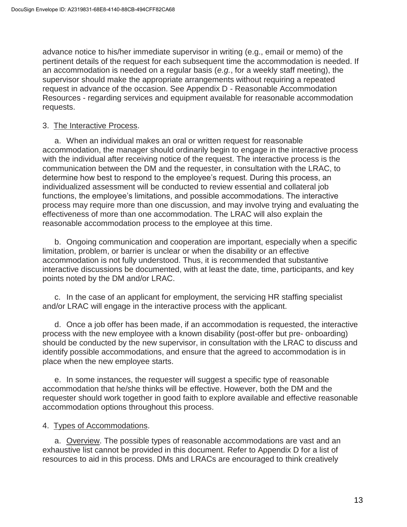advance notice to his/her immediate supervisor in writing (e.g., email or memo) of the pertinent details of the request for each subsequent time the accommodation is needed. If an accommodation is needed on a regular basis (*e.g.*, for a weekly staff meeting), the supervisor should make the appropriate arrangements without requiring a repeated request in advance of the occasion. See Appendix D - Reasonable Accommodation Resources - regarding services and equipment available for reasonable accommodation requests.

#### 3. The Interactive Process.

a. When an individual makes an oral or written request for reasonable accommodation, the manager should ordinarily begin to engage in the interactive process with the individual after receiving notice of the request. The interactive process is the communication between the DM and the requester, in consultation with the LRAC, to determine how best to respond to the employee's request. During this process, an individualized assessment will be conducted to review essential and collateral job functions, the employee's limitations, and possible accommodations. The interactive process may require more than one discussion, and may involve trying and evaluating the effectiveness of more than one accommodation. The LRAC will also explain the reasonable accommodation process to the employee at this time.

b. Ongoing communication and cooperation are important, especially when a specific limitation, problem, or barrier is unclear or when the disability or an effective accommodation is not fully understood. Thus, it is recommended that substantive interactive discussions be documented, with at least the date, time, participants, and key points noted by the DM and/or LRAC.

c. In the case of an applicant for employment, the servicing HR staffing specialist and/or LRAC will engage in the interactive process with the applicant.

d. Once a job offer has been made, if an accommodation is requested, the interactive process with the new employee with a known disability (post-offer but pre- onboarding) should be conducted by the new supervisor, in consultation with the LRAC to discuss and identify possible accommodations, and ensure that the agreed to accommodation is in place when the new employee starts.

e. In some instances, the requester will suggest a specific type of reasonable accommodation that he/she thinks will be effective. However, both the DM and the requester should work together in good faith to explore available and effective reasonable accommodation options throughout this process.

#### 4. Types of Accommodations.

a. Overview. The possible types of reasonable accommodations are vast and an exhaustive list cannot be provided in this document. Refer to Appendix D for a list of resources to aid in this process. DMs and LRACs are encouraged to think creatively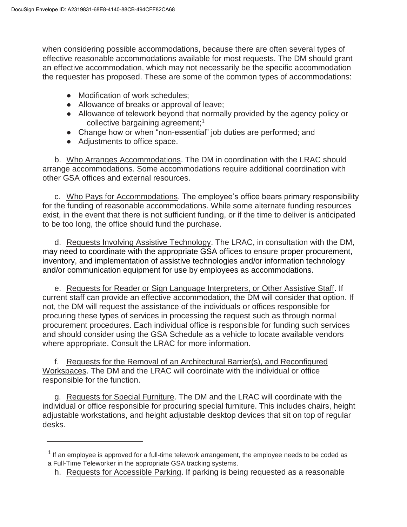when considering possible accommodations, because there are often several types of effective reasonable accommodations available for most requests. The DM should grant an effective accommodation, which may not necessarily be the specific accommodation the requester has proposed. These are some of the common types of accommodations:

- Modification of work schedules;
- Allowance of breaks or approval of leave;
- Allowance of telework beyond that normally provided by the agency policy or collective bargaining agreement;<sup>1</sup>
- Change how or when "non-essential" job duties are performed; and
- Adjustments to office space.

b. Who Arranges Accommodations. The DM in coordination with the LRAC should arrange accommodations. Some accommodations require additional coordination with other GSA offices and external resources.

c. Who Pays for Accommodations. The employee's office bears primary responsibility for the funding of reasonable accommodations. While some alternate funding resources exist, in the event that there is not sufficient funding, or if the time to deliver is anticipated to be too long, the office should fund the purchase.

d. Requests Involving Assistive Technology. The LRAC, in consultation with the DM, may need to coordinate with the appropriate GSA offices to ensure proper procurement, inventory, and implementation of assistive technologies and/or information technology and/or communication equipment for use by employees as accommodations.

e. Requests for Reader or Sign Language Interpreters, or Other Assistive Staff. If current staff can provide an effective accommodation, the DM will consider that option. If not, the DM will request the assistance of the individuals or offices responsible for procuring these types of services in processing the request such as through normal procurement procedures. Each individual office is responsible for funding such services and should consider using the GSA Schedule as a vehicle to locate available vendors where appropriate. Consult the LRAC for more information.

f. Requests for the Removal of an Architectural Barrier(s), and Reconfigured Workspaces. The DM and the LRAC will coordinate with the individual or office responsible for the function.

g. Requests for Special Furniture. The DM and the LRAC will coordinate with the individual or office responsible for procuring special furniture. This includes chairs, height adjustable workstations, and height adjustable desktop devices that sit on top of regular desks.

 $1$  If an emplovee is approved for a full-time telework arrangement, the employee needs to be coded as a Full-Time Teleworker in the appropriate GSA tracking systems.

h. Requests for Accessible Parking. If parking is being requested as a reasonable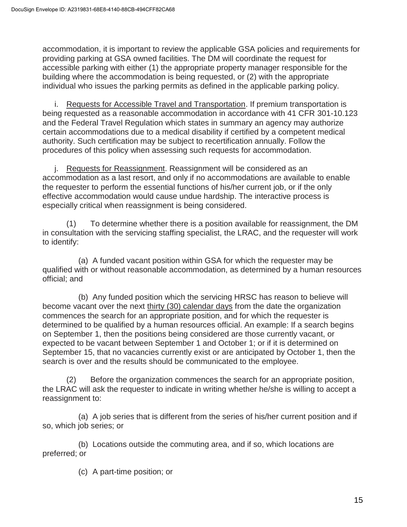accommodation, it is important to review the applicable GSA policies and requirements for providing parking at GSA owned facilities. The DM will coordinate the request for accessible parking with either (1) the appropriate property manager responsible for the building where the accommodation is being requested, or (2) with the appropriate individual who issues the parking permits as defined in the applicable parking policy.

i. Requests for Accessible Travel and Transportation. If premium transportation is being requested as a reasonable accommodation in accordance with 41 CFR 301-10.123 and the Federal Travel Regulation which states in summary an agency may authorize certain accommodations due to a medical disability if certified by a competent medical authority. Such certification may be subject to recertification annually. Follow the procedures of this policy when assessing such requests for accommodation.

j. Requests for Reassignment. Reassignment will be considered as an accommodation as a last resort, and only if no accommodations are available to enable the requester to perform the essential functions of his/her current job, or if the only effective accommodation would cause undue hardship. The interactive process is especially critical when reassignment is being considered.

(1) To determine whether there is a position available for reassignment, the DM in consultation with the servicing staffing specialist, the LRAC, and the requester will work to identify:

(a) A funded vacant position within GSA for which the requester may be qualified with or without reasonable accommodation, as determined by a human resources official; and

(b) Any funded position which the servicing HRSC has reason to believe will become vacant over the next thirty (30) calendar days from the date the organization commences the search for an appropriate position, and for which the requester is determined to be qualified by a human resources official. An example: If a search begins on September 1, then the positions being considered are those currently vacant, or expected to be vacant between September 1 and October 1; or if it is determined on September 15, that no vacancies currently exist or are anticipated by October 1, then the search is over and the results should be communicated to the employee.

(2) Before the organization commences the search for an appropriate position, the LRAC will ask the requester to indicate in writing whether he/she is willing to accept a reassignment to:

(a) A job series that is different from the series of his/her current position and if so, which job series; or

(b) Locations outside the commuting area, and if so, which locations are preferred; or

(c) A part-time position; or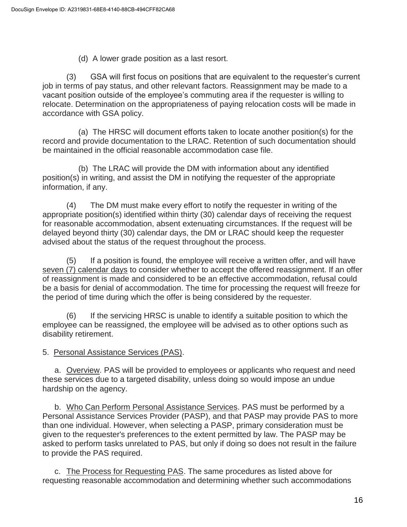(d) A lower grade position as a last resort.

(3) GSA will first focus on positions that are equivalent to the requester's current job in terms of pay status, and other relevant factors. Reassignment may be made to a vacant position outside of the employee's commuting area if the requester is willing to relocate. Determination on the appropriateness of paying relocation costs will be made in accordance with GSA policy.

(a) The HRSC will document efforts taken to locate another position(s) for the record and provide documentation to the LRAC. Retention of such documentation should be maintained in the official reasonable accommodation case file.

(b) The LRAC will provide the DM with information about any identified position(s) in writing, and assist the DM in notifying the requester of the appropriate information, if any.

(4) The DM must make every effort to notify the requester in writing of the appropriate position(s) identified within thirty (30) calendar days of receiving the request for reasonable accommodation, absent extenuating circumstances. If the request will be delayed beyond thirty (30) calendar days, the DM or LRAC should keep the requester advised about the status of the request throughout the process.

(5) If a position is found, the employee will receive a written offer, and will have seven (7) calendar days to consider whether to accept the offered reassignment. If an offer of reassignment is made and considered to be an effective accommodation, refusal could be a basis for denial of accommodation. The time for processing the request will freeze for the period of time during which the offer is being considered by the requester.

(6) If the servicing HRSC is unable to identify a suitable position to which the employee can be reassigned, the employee will be advised as to other options such as disability retirement.

5. Personal Assistance Services (PAS).

a. Overview. PAS will be provided to employees or applicants who request and need these services due to a targeted disability, unless doing so would impose an undue hardship on the agency.

b. Who Can Perform Personal Assistance Services. PAS must be performed by a Personal Assistance Services Provider (PASP), and that PASP may provide PAS to more than one individual. However, when selecting a PASP, primary consideration must be given to the requester's preferences to the extent permitted by law. The PASP may be asked to perform tasks unrelated to PAS, but only if doing so does not result in the failure to provide the PAS required.

c. The Process for Requesting PAS. The same procedures as listed above for requesting reasonable accommodation and determining whether such accommodations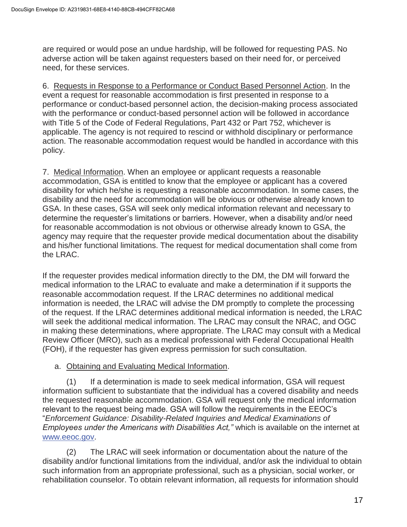are required or would pose an undue hardship, will be followed for requesting PAS. No adverse action will be taken against requesters based on their need for, or perceived need, for these services.

6. Requests in Response to a Performance or Conduct Based Personnel Action. In the event a request for reasonable accommodation is first presented in response to a performance or conduct-based personnel action, the decision-making process associated with the performance or conduct-based personnel action will be followed in accordance with Title 5 of the Code of Federal Regulations, Part 432 or Part 752, whichever is applicable. The agency is not required to rescind or withhold disciplinary or performance action. The reasonable accommodation request would be handled in accordance with this policy.

7. Medical Information. When an employee or applicant requests a reasonable accommodation, GSA is entitled to know that the employee or applicant has a covered disability for which he/she is requesting a reasonable accommodation. In some cases, the disability and the need for accommodation will be obvious or otherwise already known to GSA. In these cases, GSA will seek only medical information relevant and necessary to determine the requester's limitations or barriers. However, when a disability and/or need for reasonable accommodation is not obvious or otherwise already known to GSA, the agency may require that the requester provide medical documentation about the disability and his/her functional limitations. The request for medical documentation shall come from the LRAC.

If the requester provides medical information directly to the DM, the DM will forward the medical information to the LRAC to evaluate and make a determination if it supports the reasonable accommodation request. If the LRAC determines no additional medical information is needed, the LRAC will advise the DM promptly to complete the processing of the request. If the LRAC determines additional medical information is needed, the LRAC will seek the additional medical information. The LRAC may consult the NRAC, and OGC in making these determinations, where appropriate. The LRAC may consult with a Medical Review Officer (MRO), such as a medical professional with Federal Occupational Health (FOH), if the requester has given express permission for such consultation.

### a. Obtaining and Evaluating Medical Information.

(1) If a determination is made to seek medical information, GSA will request information sufficient to substantiate that the individual has a covered disability and needs the requested reasonable accommodation. GSA will request only the medical information relevant to the request being made. GSA will follow the requirements in the EEOC's "*Enforcement Guidance: Disability-Related Inquiries and Medical Examinations of Employees under the Americans with Disabilities Act,"* which is available on the internet at [www.eeoc.gov.](http://www.eeoc.gov/)

(2) The LRAC will seek information or documentation about the nature of the disability and/or functional limitations from the individual, and/or ask the individual to obtain such information from an appropriate professional, such as a physician, social worker, or rehabilitation counselor. To obtain relevant information, all requests for information should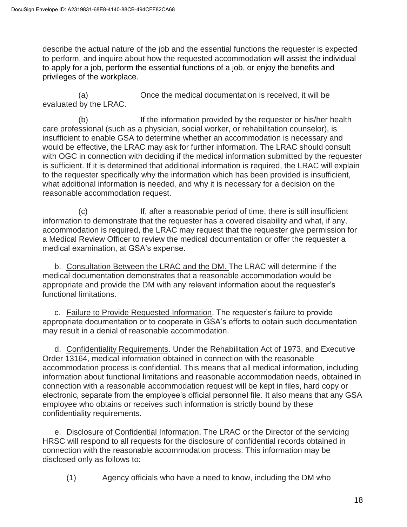describe the actual nature of the job and the essential functions the requester is expected to perform, and inquire about how the requested accommodation will assist the individual to apply for a job, perform the essential functions of a job, or enjoy the benefits and privileges of the workplace.

(a) Once the medical documentation is received, it will be evaluated by the LRAC.

(b) If the information provided by the requester or his/her health care professional (such as a physician, social worker, or rehabilitation counselor), is insufficient to enable GSA to determine whether an accommodation is necessary and would be effective, the LRAC may ask for further information. The LRAC should consult with OGC in connection with deciding if the medical information submitted by the requester is sufficient. If it is determined that additional information is required, the LRAC will explain to the requester specifically why the information which has been provided is insufficient, what additional information is needed, and why it is necessary for a decision on the reasonable accommodation request.

(c) If, after a reasonable period of time, there is still insufficient information to demonstrate that the requester has a covered disability and what, if any, accommodation is required, the LRAC may request that the requester give permission for a Medical Review Officer to review the medical documentation or offer the requester a medical examination, at GSA's expense.

b. Consultation Between the LRAC and the DM. The LRAC will determine if the medical documentation demonstrates that a reasonable accommodation would be appropriate and provide the DM with any relevant information about the requester's functional limitations.

c. Failure to Provide Requested Information. The requester's failure to provide appropriate documentation or to cooperate in GSA's efforts to obtain such documentation may result in a denial of reasonable accommodation.

d. Confidentiality Requirements. Under the Rehabilitation Act of 1973, and Executive Order 13164, medical information obtained in connection with the reasonable accommodation process is confidential. This means that all medical information, including information about functional limitations and reasonable accommodation needs, obtained in connection with a reasonable accommodation request will be kept in files, hard copy or electronic, separate from the employee's official personnel file. It also means that any GSA employee who obtains or receives such information is strictly bound by these confidentiality requirements.

e. Disclosure of Confidential Information. The LRAC or the Director of the servicing HRSC will respond to all requests for the disclosure of confidential records obtained in connection with the reasonable accommodation process. This information may be disclosed only as follows to:

(1) Agency officials who have a need to know, including the DM who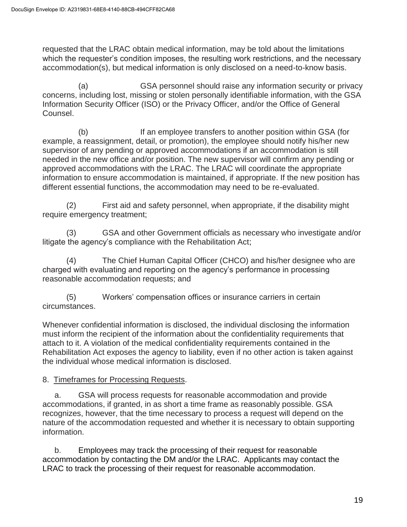requested that the LRAC obtain medical information, may be told about the limitations which the requester's condition imposes, the resulting work restrictions, and the necessary accommodation(s), but medical information is only disclosed on a need-to-know basis.

(a) GSA personnel should raise any information security or privacy concerns, including lost, missing or stolen personally identifiable information, with the GSA Information Security Officer (ISO) or the Privacy Officer, and/or the Office of General Counsel.

(b) If an employee transfers to another position within GSA (for example, a reassignment, detail, or promotion), the employee should notify his/her new supervisor of any pending or approved accommodations if an accommodation is still needed in the new office and/or position. The new supervisor will confirm any pending or approved accommodations with the LRAC. The LRAC will coordinate the appropriate information to ensure accommodation is maintained, if appropriate. If the new position has different essential functions, the accommodation may need to be re-evaluated.

(2) First aid and safety personnel, when appropriate, if the disability might require emergency treatment;

(3) GSA and other Government officials as necessary who investigate and/or litigate the agency's compliance with the Rehabilitation Act;

(4) The Chief Human Capital Officer (CHCO) and his/her designee who are charged with evaluating and reporting on the agency's performance in processing reasonable accommodation requests; and

(5) Workers' compensation offices or insurance carriers in certain circumstances.

Whenever confidential information is disclosed, the individual disclosing the information must inform the recipient of the information about the confidentiality requirements that attach to it. A violation of the medical confidentiality requirements contained in the Rehabilitation Act exposes the agency to liability, even if no other action is taken against the individual whose medical information is disclosed.

# 8. Timeframes for Processing Requests.

a. GSA will process requests for reasonable accommodation and provide accommodations, if granted, in as short a time frame as reasonably possible. GSA recognizes, however, that the time necessary to process a request will depend on the nature of the accommodation requested and whether it is necessary to obtain supporting information.

b. Employees may track the processing of their request for reasonable accommodation by contacting the DM and/or the LRAC. Applicants may contact the LRAC to track the processing of their request for reasonable accommodation.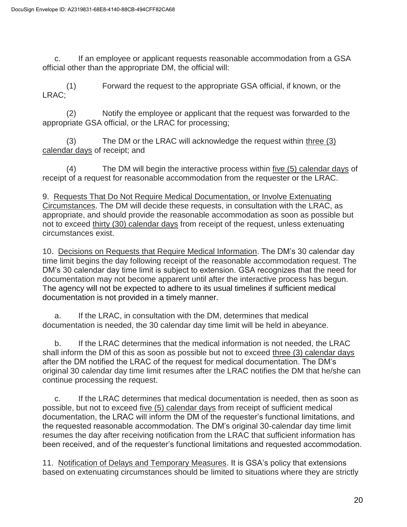c. If an employee or applicant requests reasonable accommodation from a GSA official other than the appropriate DM, the official will:

(1) Forward the request to the appropriate GSA official, if known, or the LRAC;

(2) Notify the employee or applicant that the request was forwarded to the appropriate GSA official, or the LRAC for processing;

(3) The DM or the LRAC will acknowledge the request within three (3) calendar days of receipt; and

(4) The DM will begin the interactive process within five (5) calendar days of receipt of a request for reasonable accommodation from the requester or the LRAC.

9. Requests That Do Not Require Medical Documentation, or Involve Extenuating Circumstances. The DM will decide these requests, in consultation with the LRAC, as appropriate, and should provide the reasonable accommodation as soon as possible but not to exceed thirty (30) calendar days from receipt of the request, unless extenuating circumstances exist.

10. Decisions on Requests that Require Medical Information. The DM's 30 calendar day time limit begins the day following receipt of the reasonable accommodation request. The DM's 30 calendar day time limit is subject to extension. GSA recognizes that the need for documentation may not become apparent until after the interactive process has begun. The agency will not be expected to adhere to its usual timelines if sufficient medical documentation is not provided in a timely manner.

a. If the LRAC, in consultation with the DM, determines that medical documentation is needed, the 30 calendar day time limit will be held in abeyance.

b. If the LRAC determines that the medical information is not needed, the LRAC shall inform the DM of this as soon as possible but not to exceed three (3) calendar days after the DM notified the LRAC of the request for medical documentation. The DM's original 30 calendar day time limit resumes after the LRAC notifies the DM that he/she can continue processing the request.

c. If the LRAC determines that medical documentation is needed, then as soon as possible, but not to exceed five (5) calendar days from receipt of sufficient medical documentation, the LRAC will inform the DM of the requester's functional limitations, and the requested reasonable accommodation. The DM's original 30-calendar day time limit resumes the day after receiving notification from the LRAC that sufficient information has been received, and of the requester's functional limitations and requested accommodation.

11. Notification of Delays and Temporary Measures. It is GSA's policy that extensions based on extenuating circumstances should be limited to situations where they are strictly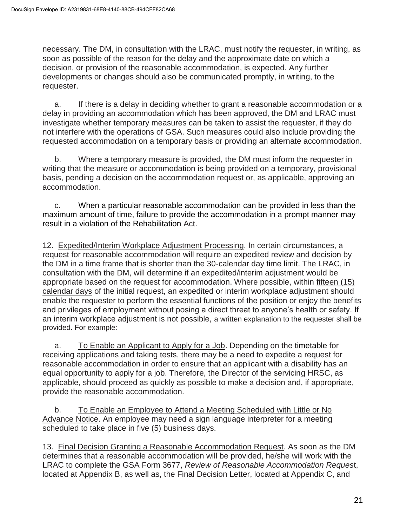necessary. The DM, in consultation with the LRAC, must notify the requester, in writing, as soon as possible of the reason for the delay and the approximate date on which a decision, or provision of the reasonable accommodation, is expected. Any further developments or changes should also be communicated promptly, in writing, to the requester.

a. If there is a delay in deciding whether to grant a reasonable accommodation or a delay in providing an accommodation which has been approved, the DM and LRAC must investigate whether temporary measures can be taken to assist the requester, if they do not interfere with the operations of GSA. Such measures could also include providing the requested accommodation on a temporary basis or providing an alternate accommodation.

b. Where a temporary measure is provided, the DM must inform the requester in writing that the measure or accommodation is being provided on a temporary, provisional basis, pending a decision on the accommodation request or, as applicable, approving an accommodation.

c. When a particular reasonable accommodation can be provided in less than the maximum amount of time, failure to provide the accommodation in a prompt manner may result in a violation of the Rehabilitation Act.

12. Expedited/Interim Workplace Adjustment Processing. In certain circumstances, a request for reasonable accommodation will require an expedited review and decision by the DM in a time frame that is shorter than the 30-calendar day time limit. The LRAC, in consultation with the DM, will determine if an expedited/interim adjustment would be appropriate based on the request for accommodation. Where possible, within fifteen (15) calendar days of the initial request, an expedited or interim workplace adjustment should enable the requester to perform the essential functions of the position or enjoy the benefits and privileges of employment without posing a direct threat to anyone's health or safety. If an interim workplace adjustment is not possible, a written explanation to the requester shall be provided. For example:

a. To Enable an Applicant to Apply for a Job. Depending on the timetable for receiving applications and taking tests, there may be a need to expedite a request for reasonable accommodation in order to ensure that an applicant with a disability has an equal opportunity to apply for a job. Therefore, the Director of the servicing HRSC, as applicable, should proceed as quickly as possible to make a decision and, if appropriate, provide the reasonable accommodation.

b. To Enable an Employee to Attend a Meeting Scheduled with Little or No Advance Notice. An employee may need a sign language interpreter for a meeting scheduled to take place in five (5) business days.

13. Final Decision Granting a Reasonable Accommodation Request. As soon as the DM determines that a reasonable accommodation will be provided, he/she will work with the LRAC to complete the GSA Form 3677, *Review of Reasonable Accommodation Reques*t, located at Appendix B, as well as, the Final Decision Letter, located at Appendix C, and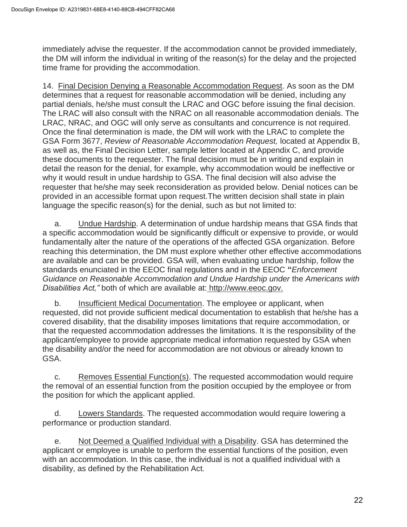immediately advise the requester. If the accommodation cannot be provided immediately, the DM will inform the individual in writing of the reason(s) for the delay and the projected time frame for providing the accommodation.

14. Final Decision Denying a Reasonable Accommodation Request. As soon as the DM determines that a request for reasonable accommodation will be denied, including any partial denials, he/she must consult the LRAC and OGC before issuing the final decision. The LRAC will also consult with the NRAC on all reasonable accommodation denials. The LRAC, NRAC, and OGC will only serve as consultants and concurrence is not required. Once the final determination is made, the DM will work with the LRAC to complete the GSA Form 3677, *Review of Reasonable Accommodation Request,* located at Appendix B, as well as, the Final Decision Letter, sample letter located at Appendix C, and provide these documents to the requester. The final decision must be in writing and explain in detail the reason for the denial, for example, why accommodation would be ineffective or why it would result in undue hardship to GSA. The final decision will also advise the requester that he/she may seek reconsideration as provided below. Denial notices can be provided in an accessible format upon request.The written decision shall state in plain language the specific reason(s) for the denial, such as but not limited to:

a. Undue Hardship. A determination of undue hardship means that GSA finds that a specific accommodation would be significantly difficult or expensive to provide, or would fundamentally alter the nature of the operations of the affected GSA organization. Before reaching this determination, the DM must explore whether other effective accommodations are available and can be provided. GSA will, when evaluating undue hardship, follow the standards enunciated in the EEOC final regulations and in the EEOC **"***Enforcement Guidance on Reasonable Accommodation and Undue Hardship under* the *Americans with Disabilities Act,"* both of which are available at: [http://www.eeoc.gov.](http://www.eeoc.gov/)

b. Insufficient Medical Documentation. The employee or applicant, when requested, did not provide sufficient medical documentation to establish that he/she has a covered disability, that the disability imposes limitations that require accommodation, or that the requested accommodation addresses the limitations. It is the responsibility of the applicant/employee to provide appropriate medical information requested by GSA when the disability and/or the need for accommodation are not obvious or already known to GSA.

c. Removes Essential Function(s). The requested accommodation would require the removal of an essential function from the position occupied by the employee or from the position for which the applicant applied.

d. Lowers Standards. The requested accommodation would require lowering a performance or production standard.

e. Not Deemed a Qualified Individual with a Disability. GSA has determined the applicant or employee is unable to perform the essential functions of the position, even with an accommodation. In this case, the individual is not a qualified individual with a disability, as defined by the Rehabilitation Act.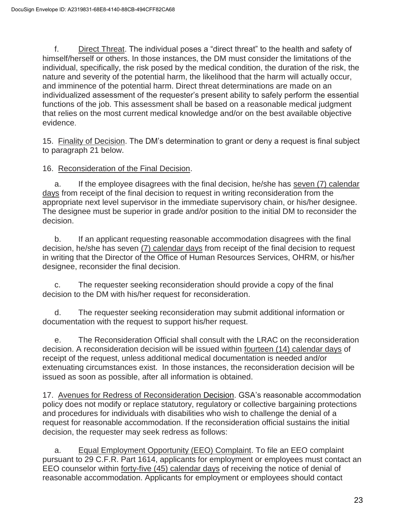f. Direct Threat. The individual poses a "direct threat" to the health and safety of himself/herself or others. In those instances, the DM must consider the limitations of the individual, specifically, the risk posed by the medical condition, the duration of the risk, the nature and severity of the potential harm, the likelihood that the harm will actually occur, and imminence of the potential harm. Direct threat determinations are made on an individualized assessment of the requester's present ability to safely perform the essential functions of the job. This assessment shall be based on a reasonable medical judgment that relies on the most current medical knowledge and/or on the best available objective evidence.

15. Finality of Decision. The DM's determination to grant or deny a request is final subject to paragraph 21 below.

### 16. Reconsideration of the Final Decision.

a. If the employee disagrees with the final decision, he/she has seven (7) calendar days from receipt of the final decision to request in writing reconsideration from the appropriate next level supervisor in the immediate supervisory chain, or his/her designee. The designee must be superior in grade and/or position to the initial DM to reconsider the decision.

b. If an applicant requesting reasonable accommodation disagrees with the final decision, he/she has seven (7) calendar days from receipt of the final decision to request in writing that the Director of the Office of Human Resources Services, OHRM, or his/her designee, reconsider the final decision.

c. The requester seeking reconsideration should provide a copy of the final decision to the DM with his/her request for reconsideration.

d. The requester seeking reconsideration may submit additional information or documentation with the request to support his/her request.

e. The Reconsideration Official shall consult with the LRAC on the reconsideration decision. A reconsideration decision will be issued within fourteen (14) calendar days of receipt of the request, unless additional medical documentation is needed and/or extenuating circumstances exist. In those instances, the reconsideration decision will be issued as soon as possible, after all information is obtained.

17. Avenues for Redress of Reconsideration Decision. GSA's reasonable accommodation policy does not modify or replace statutory, regulatory or collective bargaining protections and procedures for individuals with disabilities who wish to challenge the denial of a request for reasonable accommodation. If the reconsideration official sustains the initial decision, the requester may seek redress as follows:

a. Equal Employment Opportunity (EEO) Complaint. To file an EEO complaint pursuant to 29 C.F.R. Part 1614, applicants for employment or employees must contact an EEO counselor within forty-five (45) calendar days of receiving the notice of denial of reasonable accommodation. Applicants for employment or employees should contact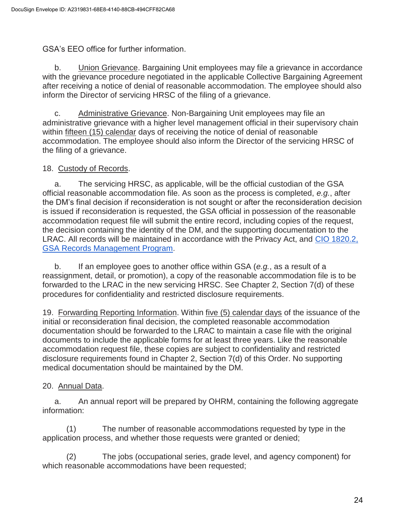GSA's EEO office for further information.

b. Union Grievance. Bargaining Unit employees may file a grievance in accordance with the grievance procedure negotiated in the applicable Collective Bargaining Agreement after receiving a notice of denial of reasonable accommodation. The employee should also inform the Director of servicing HRSC of the filing of a grievance.

c. Administrative Grievance. Non-Bargaining Unit employees may file an administrative grievance with a higher level management official in their supervisory chain within fifteen (15) calendar days of receiving the notice of denial of reasonable accommodation. The employee should also inform the Director of the servicing HRSC of the filing of a grievance.

### 18. Custody of Records.

a. The servicing HRSC, as applicable, will be the official custodian of the GSA official reasonable accommodation file. As soon as the process is completed, *e.g.*, after the DM's final decision if reconsideration is not sought or after the reconsideration decision is issued if reconsideration is requested, the GSA official in possession of the reasonable accommodation request file will submit the entire record, including copies of the request, the decision containing the identity of the DM, and the supporting documentation to the LRAC. All records will be maintained in accordance with the Privacy Act, and [CIO 1820.2,](https://insite.gsa.gov/directives-library/gsa-records-management-program-18202-cio)  [GSA Records Management Program.](https://insite.gsa.gov/directives-library/gsa-records-management-program-18202-cio)

b. If an employee goes to another office within GSA (*e.g.*, as a result of a reassignment, detail, or promotion), a copy of the reasonable accommodation file is to be forwarded to the LRAC in the new servicing HRSC. See Chapter 2, Section 7(d) of these procedures for confidentiality and restricted disclosure requirements.

19. Forwarding Reporting Information. Within five (5) calendar days of the issuance of the initial or reconsideration final decision, the completed reasonable accommodation documentation should be forwarded to the LRAC to maintain a case file with the original documents to include the applicable forms for at least three years. Like the reasonable accommodation request file, these copies are subject to confidentiality and restricted disclosure requirements found in Chapter 2, Section 7(d) of this Order. No supporting medical documentation should be maintained by the DM.

# 20. Annual Data.

a. An annual report will be prepared by OHRM, containing the following aggregate information:

(1) The number of reasonable accommodations requested by type in the application process, and whether those requests were granted or denied;

(2) The jobs (occupational series, grade level, and agency component) for which reasonable accommodations have been requested;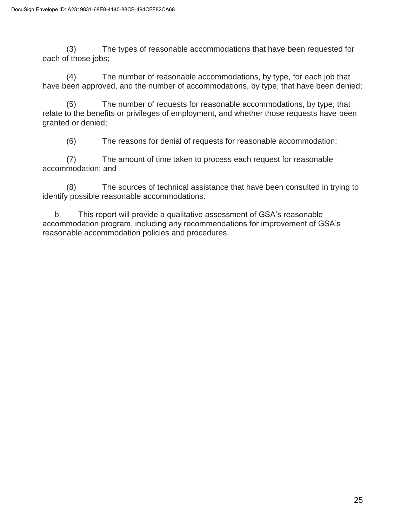(3) The types of reasonable accommodations that have been requested for each of those jobs;

(4) The number of reasonable accommodations, by type, for each job that have been approved, and the number of accommodations, by type, that have been denied;

(5) The number of requests for reasonable accommodations, by type, that relate to the benefits or privileges of employment, and whether those requests have been granted or denied;

(6) The reasons for denial of requests for reasonable accommodation;

(7) The amount of time taken to process each request for reasonable accommodation; and

(8) The sources of technical assistance that have been consulted in trying to identify possible reasonable accommodations.

b. This report will provide a qualitative assessment of GSA's reasonable accommodation program, including any recommendations for improvement of GSA's reasonable accommodation policies and procedures.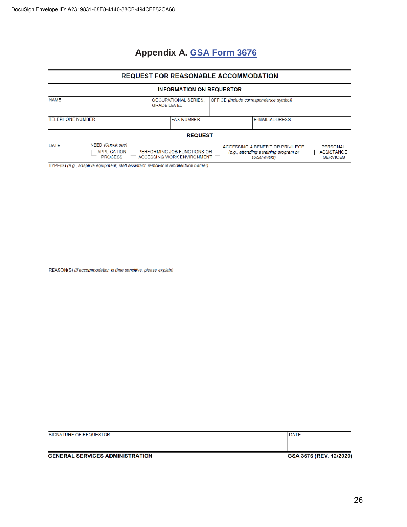# **Appendix A. GSA Form 3676**

#### REQUEST FOR REASONABLE ACCOMMODATION

#### **INFORMATION ON REQUESTOR**

| <b>NAME</b>             |                                                          | OCCUPATIONAL SERIES.<br><b>GRADE LEVEL</b>                | OFFICE (include correspondence symbol)                                                      |                                                  |
|-------------------------|----------------------------------------------------------|-----------------------------------------------------------|---------------------------------------------------------------------------------------------|--------------------------------------------------|
| <b>TELEPHONE NUMBER</b> |                                                          | <b>FAX NUMBER</b>                                         | <b>E-MAIL ADDRESS</b>                                                                       |                                                  |
|                         |                                                          | <b>REQUEST</b>                                            |                                                                                             |                                                  |
| DATE                    | NEED (Check one)<br><b>APPLICATION</b><br><b>PROCESS</b> | PERFORMING JOB FUNCTIONS OR<br>ACCESSING WORK ENVIRONMENT | ACCESSING A BENEFIT OR PRIVILEGE<br>(e.g., attending a training program or<br>social event) | PERSONAL<br><b>ASSISTANCE</b><br><b>SERVICES</b> |

TYPE(S) (e.g., adaptive equipment, staff assistant, removal of architectural barrier)

REASON(S) (if accommodation is time sensitive, please explain)

| SIGNATURE OF REQUESTOR                 | <b>DATE</b>             |
|----------------------------------------|-------------------------|
|                                        |                         |
| <b>GENERAL SERVICES ADMINISTRATION</b> | GSA 3676 (REV. 12/2020) |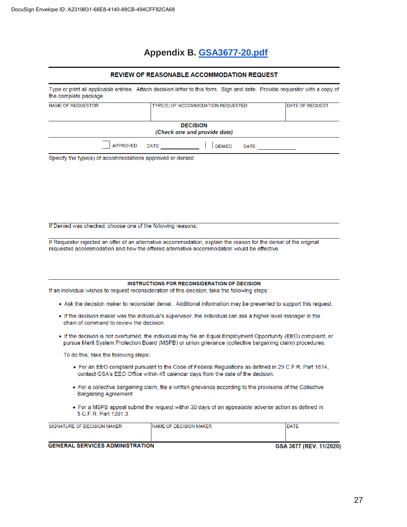# **Appendix B. [GSA3677-20.pdf](https://www.gsa.gov/Forms/TrackForm/32494)**

#### REVIEW OF REASONABLE ACCOMMODATION REQUEST

| Type or print all applicable entries. Attach decision letter to this form. Sign and date. Provide requestor with a copy of<br>the complete package. |       |                                                 |       |                        |
|-----------------------------------------------------------------------------------------------------------------------------------------------------|-------|-------------------------------------------------|-------|------------------------|
| NAME OF REQUESTOR                                                                                                                                   |       | TYPE(S) OF ACCOMMODATION REQUESTED              |       | <b>DATE OF REQUEST</b> |
|                                                                                                                                                     |       | <b>DECISION</b><br>(Check one and provide date) |       |                        |
| <b>APPROVED</b>                                                                                                                                     | DATE: | <b>DENIED</b>                                   | DATE: |                        |

Specify the type(s) of accommodations approved or denied:

#### If Denied was checked, choose one of the following reasons:

If Requestor rejected an offer of an alternative accommodation, explain the reason for the denial of the original requested accommodation and how the offered alternative accommodation would be effective.

#### INSTRUCTIONS FOR RECONSIDERATION OF DECISION

If an individual wishes to request reconsideration of this decision, take the following steps:

- . Ask the decision maker to reconsider denial. Additional information may be presented to support this request.
- . If the decision maker was the individual's supervisor, the individual can ask a higher level manager in the chain of command to review the decision.
- . If the decision is not overturned, the individual may file an Equal Employment Opportunity (EEO) complaint, or pursue Merit System Protection Board (MSPB) or union grievance (collective bargaining claim) procedures.

To do this, take the following steps:

- For an EEO complaint pursuant to the Code of Federal Regulations as defined in 29 C.F.R. Part 1614, contact GSA's EEO Office within 45 calendar days from the date of the decision.
- For a collective bargaining claim, file a written grievance according to the provisions of the Collective Bargaining Agreement.
- For a MSPB appeal submit the request within 30 days of an appealable adverse action as defined in 5 C.F.R. Part 1201.3.

| SIGNATURE OF DECISION MAKER            | <b>INAME OF DECISION MAKER</b> | <b>DATE</b>             |
|----------------------------------------|--------------------------------|-------------------------|
| <b>GENERAL SERVICES ADMINISTRATION</b> |                                | GSA 3677 (REV. 11/2020) |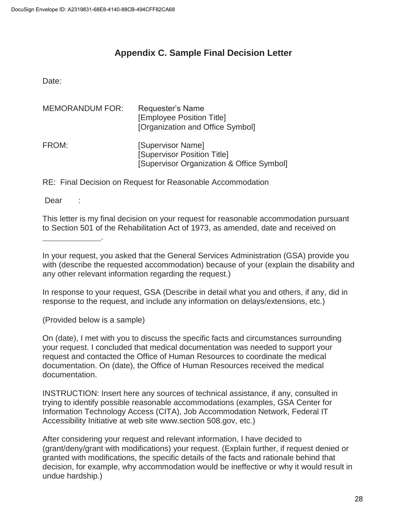# **Appendix C. Sample Final Decision Letter**

Date:

| <b>MEMORANDUM FOR:</b> | Requester's Name<br>[Employee Position Title]<br>[Organization and Office Symbol]             |
|------------------------|-----------------------------------------------------------------------------------------------|
| FROM:                  | [Supervisor Name]<br>[Supervisor Position Title]<br>[Supervisor Organization & Office Symbol] |

RE: Final Decision on Request for Reasonable Accommodation

Dear :

This letter is my final decision on your request for reasonable accommodation pursuant to Section 501 of the Rehabilitation Act of 1973, as amended, date and received on

In response to your request, GSA (Describe in detail what you and others, if any, did in response to the request, and include any information on delays/extensions, etc.)

(Provided below is a sample)

.

On (date), I met with you to discuss the specific facts and circumstances surrounding your request. I concluded that medical documentation was needed to support your request and contacted the Office of Human Resources to coordinate the medical documentation. On (date), the Office of Human Resources received the medical documentation.

INSTRUCTION: Insert here any sources of technical assistance, if any, consulted in trying to identify possible reasonable accommodations (examples, GSA Center for Information Technology Access (CITA), Job Accommodation Network, Federal IT Accessibility Initiative at web site www.section 508.gov, etc.)

After considering your request and relevant information, I have decided to (grant/deny/grant with modifications) your request. (Explain further, if request denied or granted with modifications, the specific details of the facts and rationale behind that decision, for example, why accommodation would be ineffective or why it would result in undue hardship.)

In your request, you asked that the General Services Administration (GSA) provide you with (describe the requested accommodation) because of your (explain the disability and any other relevant information regarding the request.)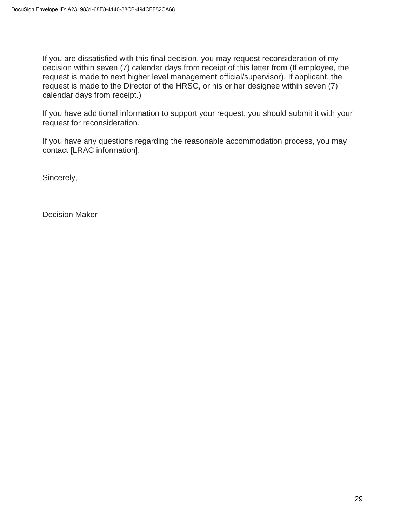If you are dissatisfied with this final decision, you may request reconsideration of my decision within seven (7) calendar days from receipt of this letter from (If employee, the request is made to next higher level management official/supervisor). If applicant, the request is made to the Director of the HRSC, or his or her designee within seven (7) calendar days from receipt.)

If you have additional information to support your request, you should submit it with your request for reconsideration.

If you have any questions regarding the reasonable accommodation process, you may contact [LRAC information].

Sincerely,

Decision Maker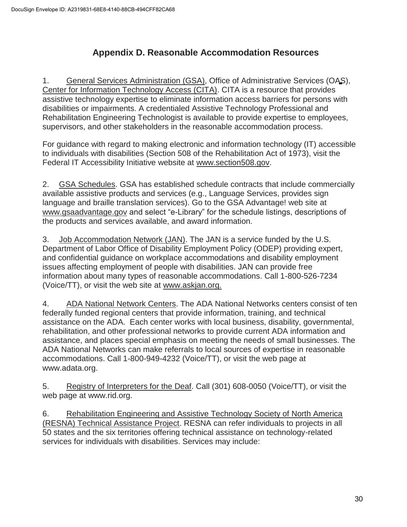# **Appendix D. Reasonable Accommodation Resources**

1. General Services Administration (GSA), Office of Administrative Services (OAS), Center for Information Technology Access (CITA). CITA is a resource that provides assistive technology expertise to eliminate information access barriers for persons with disabilities or impairments. A credentialed Assistive Technology Professional and Rehabilitation Engineering Technologist is available to provide expertise to employees, supervisors, and other stakeholders in the reasonable accommodation process.

For guidance with regard to making electronic and information technology (IT) accessible to individuals with disabilities (Section 508 of the Rehabilitation Act of 1973), visit the Federal IT Accessibility Initiative website at [www.section508.gov.](http://www.section508.gov/)

2. GSA Schedules. GSA has established schedule contracts that include commercially available assistive products and services (e.g., Language Services, provides sign language and braille translation services). Go to the GSA Advantage! web site a[t](http://www.gsaadvantage.gov/) [www.gsaadvantage.gov](http://www.gsaadvantage.gov/) [a](http://www.gsaadvantage.gov/)nd select "e-Library" for the schedule listings, descriptions of the products and services available, and award information.

3. Job Accommodation Network (JAN). The JAN is a service funded by the U.S. Department of Labor Office of Disability Employment Policy (ODEP) providing expert, and confidential guidance on workplace accommodations and disability employment issues affecting employment of people with disabilities. JAN can provide free information about many types of reasonable accommodations. Call 1-800-526-7234 (Voice/TT), or visit the web site at [www.askjan.org.](http://www.askjan.org/)

4. ADA National Network Centers. The ADA National Networks centers consist of ten federally funded regional centers that provide information, training, and technical assistance on the ADA. Each center works with local business, disability, governmental, rehabilitation, and other professional networks to provide current ADA information and assistance, and places special emphasis on meeting the needs of small businesses. The ADA National Networks can make referrals to local sources of expertise in reasonable accommodations. Call 1-800-949-4232 (Voice/TT), or visit the web page at [www.adata.org.](http://www.adata.org/)

5. Registry of Interpreters for the Deaf. Call (301) 608-0050 (Voice/TT), or visit the web page at [www.rid.org.](http://www.rid.org/)

6. Rehabilitation Engineering and Assistive Technology Society of North America (RESNA) Technical Assistance Project. RESNA can refer individuals to projects in all 50 states and the six territories offering technical assistance on technology-related services for individuals with disabilities. Services may include: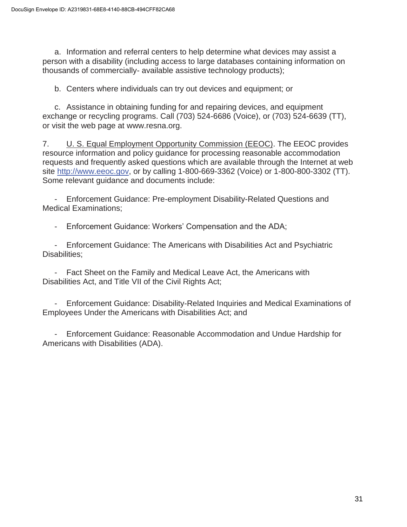a. Information and referral centers to help determine what devices may assist a person with a disability (including access to large databases containing information on thousands of commercially- available assistive technology products);

b. Centers where individuals can try out devices and equipment; or

c. Assistance in obtaining funding for and repairing devices, and equipment exchange or recycling programs. Call (703) 524-6686 (Voice), or (703) 524-6639 (TT), or visit the web page at [www.resna.org.](http://www.resna.org/)

7. U. S. Equal Employment Opportunity Commission (EEOC). The EEOC provides resource information and policy guidance for processing reasonable accommodation requests and frequently asked questions which are available through the Internet at web site [http://www.eeoc.gov,](http://www.eeoc.gov/) or by calling 1-800-669-3362 (Voice) or 1-800-800-3302 (TT). Some relevant guidance and documents include:

- Enforcement Guidance: Pre-employment Disability-Related Questions and Medical Examinations;

- Enforcement Guidance: Workers' Compensation and the ADA;

- Enforcement Guidance: The Americans with Disabilities Act and Psychiatric Disabilities;

Fact Sheet on the Family and Medical Leave Act, the Americans with Disabilities Act, and Title VII of the Civil Rights Act;

- Enforcement Guidance: Disability-Related Inquiries and Medical Examinations of Employees Under the Americans with Disabilities Act; and

- Enforcement Guidance: Reasonable Accommodation and Undue Hardship for Americans with Disabilities (ADA).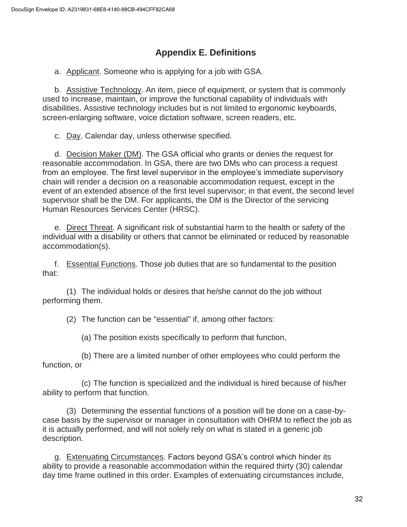# **Appendix E. Definitions**

a. Applicant. Someone who is applying for a job with GSA.

b. Assistive Technology. An item, piece of equipment, or system that is commonly used to increase, maintain, or improve the functional capability of individuals with disabilities. Assistive technology includes but is not limited to ergonomic keyboards, screen-enlarging software, voice dictation software, screen readers, etc.

c. Day. Calendar day, unless otherwise specified.

d. Decision Maker (DM). The GSA official who grants or denies the request for reasonable accommodation. In GSA, there are two DMs who can process a request from an employee. The first level supervisor in the employee's immediate supervisory chain will render a decision on a reasonable accommodation request, except in the event of an extended absence of the first level supervisor; in that event, the second level supervisor shall be the DM. For applicants, the DM is the Director of the servicing Human Resources Services Center (HRSC).

e. Direct Threat. A significant risk of substantial harm to the health or safety of the individual with a disability or others that cannot be eliminated or reduced by reasonable accommodation(s).

f. Essential Functions. Those job duties that are so fundamental to the position that:

(1) The individual holds or desires that he/she cannot do the job without performing them.

(2) The function can be "essential" if, among other factors:

(a) The position exists specifically to perform that function,

(b) There are a limited number of other employees who could perform the function, or

(c) The function is specialized and the individual is hired because of his/her ability to perform that function.

(3) Determining the essential functions of a position will be done on a case-bycase basis by the supervisor or manager in consultation with OHRM to reflect the job as it is actually performed, and will not solely rely on what is stated in a generic job description.

g. Extenuating Circumstances. Factors beyond GSA's control which hinder its ability to provide a reasonable accommodation within the required thirty (30) calendar day time frame outlined in this order. Examples of extenuating circumstances include,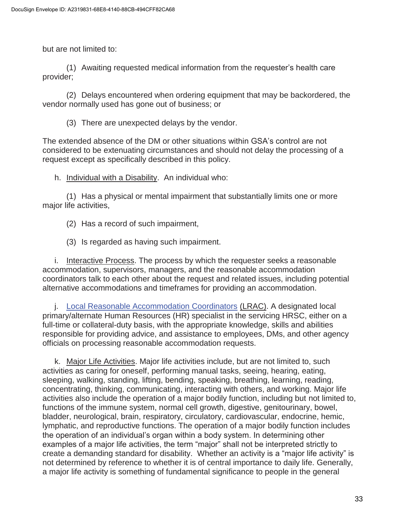but are not limited to:

(1) Awaiting requested medical information from the requester's health care provider;

(2) Delays encountered when ordering equipment that may be backordered, the vendor normally used has gone out of business; or

(3) There are unexpected delays by the vendor.

The extended absence of the DM or other situations within GSA's control are not considered to be extenuating circumstances and should not delay the processing of a request except as specifically described in this policy.

h. Individual with a Disability. An individual who:

(1) Has a physical or mental impairment that substantially limits one or more major life activities,

(2) Has a record of such impairment,

(3) Is regarded as having such impairment.

i. Interactive Process. The process by which the requester seeks a reasonable accommodation, supervisors, managers, and the reasonable accommodation coordinators talk to each other about the request and related issues, including potential alternative accommodations and timeframes for providing an accommodation.

j. Local Reasonable Accommodation Coordinators (LRAC). A designated local primary/alternate Human Resources (HR) specialist in the servicing HRSC, either on a full-time or collateral-duty basis, with the appropriate knowledge, skills and abilities responsible for providing advice, and assistance to employees, DMs, and other agency officials on processing reasonable accommodation requests.

k. Major Life Activities. Major life activities include, but are not limited to, such activities as caring for oneself, performing manual tasks, seeing, hearing, eating, sleeping, walking, standing, lifting, bending, speaking, breathing, learning, reading, concentrating, thinking, communicating, interacting with others, and working. Major life activities also include the operation of a major bodily function, including but not limited to, functions of the immune system, normal cell growth, digestive, genitourinary, bowel, bladder, neurological, brain, respiratory, circulatory, cardiovascular, endocrine, hemic, lymphatic, and reproductive functions. The operation of a major bodily function includes the operation of an individual's organ within a body system. In determining other examples of a major life activities, the term "major" shall not be interpreted strictly to create a demanding standard for disability. Whether an activity is a "major life activity" is not determined by reference to whether it is of central importance to daily life. Generally, a major life activity is something of fundamental significance to people in the general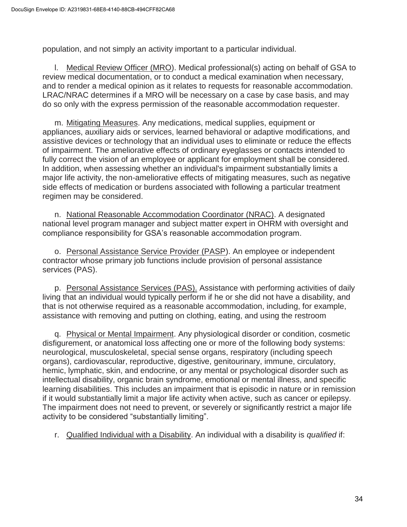population, and not simply an activity important to a particular individual.

l. Medical Review Officer (MRO). Medical professional(s) acting on behalf of GSA to review medical documentation, or to conduct a medical examination when necessary, and to render a medical opinion as it relates to requests for reasonable accommodation. LRAC/NRAC determines if a MRO will be necessary on a case by case basis, and may do so only with the express permission of the reasonable accommodation requester.

m. Mitigating Measures. Any medications, medical supplies, equipment or appliances, auxiliary aids or services, learned behavioral or adaptive modifications, and assistive devices or technology that an individual uses to eliminate or reduce the effects of impairment. The ameliorative effects of ordinary eyeglasses or contacts intended to fully correct the vision of an employee or applicant for employment shall be considered. In addition, when assessing whether an individual's impairment substantially limits a major life activity, the non-ameliorative effects of mitigating measures, such as negative side effects of medication or burdens associated with following a particular treatment regimen may be considered.

n. National Reasonable Accommodation Coordinator (NRAC). A designated national level program manager and subject matter expert in OHRM with oversight and compliance responsibility for GSA's reasonable accommodation program.

o. Personal Assistance Service Provider (PASP). An employee or independent contractor whose primary job functions include provision of personal assistance services (PAS).

p. Personal Assistance Services (PAS). Assistance with performing activities of daily living that an individual would typically perform if he or she did not have a disability, and that is not otherwise required as a reasonable accommodation, including, for example, assistance with removing and putting on clothing, eating, and using the restroom

q. Physical or Mental Impairment. Any physiological disorder or condition, cosmetic disfigurement, or anatomical loss affecting one or more of the following body systems: neurological, musculoskeletal, special sense organs, respiratory (including speech organs), cardiovascular, reproductive, digestive, genitourinary, immune, circulatory, hemic, lymphatic, skin, and endocrine, or any mental or psychological disorder such as intellectual disability, organic brain syndrome, emotional or mental illness, and specific learning disabilities. This includes an impairment that is episodic in nature or in remission if it would substantially limit a major life activity when active, such as cancer or epilepsy. The impairment does not need to prevent, or severely or significantly restrict a major life activity to be considered "substantially limiting".

r. Qualified Individual with a Disability. An individual with a disability is *qualified* if: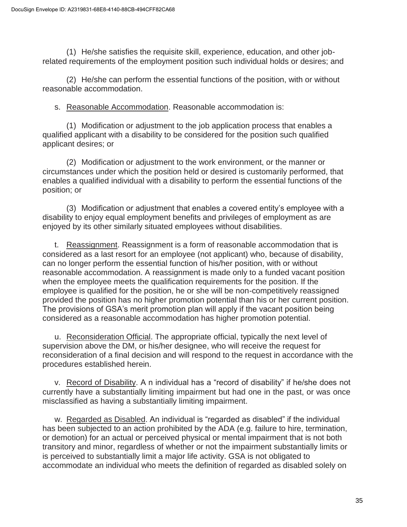(1) He/she satisfies the requisite skill, experience, education, and other jobrelated requirements of the employment position such individual holds or desires; and

(2) He/she can perform the essential functions of the position, with or without reasonable accommodation.

s. Reasonable Accommodation. Reasonable accommodation is:

(1) Modification or adjustment to the job application process that enables a qualified applicant with a disability to be considered for the position such qualified applicant desires; or

(2) Modification or adjustment to the work environment, or the manner or circumstances under which the position held or desired is customarily performed, that enables a qualified individual with a disability to perform the essential functions of the position; or

(3) Modification or adjustment that enables a covered entity's employee with a disability to enjoy equal employment benefits and privileges of employment as are enjoyed by its other similarly situated employees without disabilities.

t. Reassignment. Reassignment is a form of reasonable accommodation that is considered as a last resort for an employee (not applicant) who, because of disability, can no longer perform the essential function of his/her position, with or without reasonable accommodation. A reassignment is made only to a funded vacant position when the employee meets the qualification requirements for the position. If the employee is qualified for the position, he or she will be non-competitively reassigned provided the position has no higher promotion potential than his or her current position. The provisions of GSA's merit promotion plan will apply if the vacant position being considered as a reasonable accommodation has higher promotion potential.

u. Reconsideration Official. The appropriate official, typically the next level of supervision above the DM, or his/her designee, who will receive the request for reconsideration of a final decision and will respond to the request in accordance with the procedures established herein.

v. Record of Disability. A n individual has a "record of disability" if he/she does not currently have a substantially limiting impairment but had one in the past, or was once misclassified as having a substantially limiting impairment.

w. Regarded as Disabled. An individual is "regarded as disabled" if the individual has been subjected to an action prohibited by the ADA (e.g. failure to hire, termination, or demotion) for an actual or perceived physical or mental impairment that is not both transitory and minor, regardless of whether or not the impairment substantially limits or is perceived to substantially limit a major life activity. GSA is not obligated to accommodate an individual who meets the definition of regarded as disabled solely on